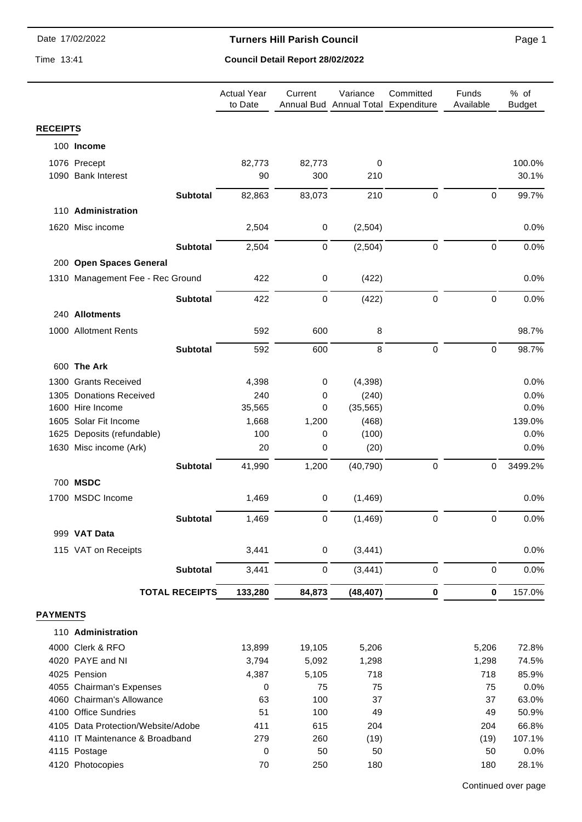#### **Turners Hill Parish Council**

Time 13:41

# **Council Detail Report 28/02/2022**

|                 |                                             |                       | <b>Actual Year</b><br>to Date | Current     | Variance<br>Annual Bud Annual Total Expenditure | Committed        | Funds<br>Available | % of<br><b>Budget</b> |
|-----------------|---------------------------------------------|-----------------------|-------------------------------|-------------|-------------------------------------------------|------------------|--------------------|-----------------------|
| <b>RECEIPTS</b> |                                             |                       |                               |             |                                                 |                  |                    |                       |
|                 | 100 Income                                  |                       |                               |             |                                                 |                  |                    |                       |
|                 | 1076 Precept                                |                       | 82,773                        | 82,773      | 0                                               |                  |                    | 100.0%                |
|                 | 1090 Bank Interest                          |                       | 90                            | 300         | 210                                             |                  |                    | 30.1%                 |
|                 |                                             |                       |                               |             |                                                 |                  |                    |                       |
|                 |                                             | <b>Subtotal</b>       | 82,863                        | 83,073      | 210                                             | $\pmb{0}$        | $\mathbf 0$        | 99.7%                 |
|                 | 110 Administration                          |                       |                               |             |                                                 |                  |                    |                       |
|                 | 1620 Misc income                            |                       | 2,504                         | 0           | (2,504)                                         |                  |                    | 0.0%                  |
|                 |                                             | <b>Subtotal</b>       | 2,504                         | 0           | (2,504)                                         | $\pmb{0}$        | $\mathbf 0$        | 0.0%                  |
|                 | 200 Open Spaces General                     |                       |                               |             |                                                 |                  |                    |                       |
|                 | 1310 Management Fee - Rec Ground            |                       | 422                           | $\mathbf 0$ | (422)                                           |                  |                    | 0.0%                  |
|                 |                                             |                       |                               |             |                                                 |                  |                    |                       |
|                 |                                             | <b>Subtotal</b>       | 422                           | 0           | (422)                                           | $\pmb{0}$        | $\pmb{0}$          | 0.0%                  |
|                 | 240 Allotments                              |                       |                               |             |                                                 |                  |                    |                       |
|                 | 1000 Allotment Rents                        |                       | 592                           | 600         | 8                                               |                  |                    | 98.7%                 |
|                 |                                             | <b>Subtotal</b>       | 592                           | 600         | 8                                               | $\boldsymbol{0}$ | $\mathbf 0$        | 98.7%                 |
|                 | 600 The Ark                                 |                       |                               |             |                                                 |                  |                    |                       |
|                 |                                             |                       |                               |             |                                                 |                  |                    |                       |
|                 | 1300 Grants Received                        |                       | 4,398                         | 0           | (4, 398)                                        |                  |                    | 0.0%                  |
|                 | 1305 Donations Received<br>1600 Hire Income |                       | 240<br>35,565                 | 0<br>0      | (240)<br>(35, 565)                              |                  |                    | 0.0%<br>0.0%          |
|                 | 1605 Solar Fit Income                       |                       | 1,668                         | 1,200       | (468)                                           |                  |                    | 139.0%                |
|                 | 1625 Deposits (refundable)                  |                       | 100                           | 0           | (100)                                           |                  |                    | 0.0%                  |
|                 | 1630 Misc income (Ark)                      |                       | 20                            | 0           | (20)                                            |                  |                    | 0.0%                  |
|                 |                                             |                       |                               |             |                                                 |                  |                    |                       |
|                 |                                             | <b>Subtotal</b>       | 41,990                        | 1,200       | (40, 790)                                       | $\boldsymbol{0}$ | $\mathbf 0$        | 3499.2%               |
|                 | 700 MSDC                                    |                       |                               |             |                                                 |                  |                    |                       |
|                 | 1700 MSDC Income                            |                       | 1,469                         | $\pmb{0}$   | (1, 469)                                        |                  |                    | 0.0%                  |
|                 |                                             | <b>Subtotal</b>       | 1,469                         | 0           | (1, 469)                                        | 0                | $\mathbf 0$        | 0.0%                  |
|                 | 999 VAT Data                                |                       |                               |             |                                                 |                  |                    |                       |
|                 | 115 VAT on Receipts                         |                       | 3,441                         | $\pmb{0}$   | (3, 441)                                        |                  |                    | 0.0%                  |
|                 |                                             |                       |                               |             |                                                 |                  |                    |                       |
|                 |                                             | <b>Subtotal</b>       | 3,441                         | 0           | (3, 441)                                        | $\pmb{0}$        | $\mathbf 0$        | 0.0%                  |
|                 |                                             | <b>TOTAL RECEIPTS</b> | 133,280                       | 84,873      | (48, 407)                                       | 0                | $\bf{0}$           | 157.0%                |
| <b>PAYMENTS</b> |                                             |                       |                               |             |                                                 |                  |                    |                       |
|                 | 110 Administration                          |                       |                               |             |                                                 |                  |                    |                       |
|                 | 4000 Clerk & RFO                            |                       | 13,899                        | 19,105      | 5,206                                           |                  | 5,206              | 72.8%                 |
|                 | 4020 PAYE and NI                            |                       | 3,794                         | 5,092       | 1,298                                           |                  | 1,298              | 74.5%                 |
|                 | 4025 Pension                                |                       | 4,387                         | 5,105       | 718                                             |                  | 718                | 85.9%                 |
|                 | 4055 Chairman's Expenses                    |                       | 0                             | 75          | 75                                              |                  | 75                 | 0.0%                  |
|                 | 4060 Chairman's Allowance                   |                       | 63                            | 100         | 37                                              |                  | 37                 | 63.0%                 |
|                 | 4100 Office Sundries                        |                       | 51                            | 100         | 49                                              |                  | 49                 | 50.9%                 |
|                 | 4105 Data Protection/Website/Adobe          |                       | 411                           | 615         | 204                                             |                  | 204                | 66.8%                 |
|                 | 4110 IT Maintenance & Broadband             |                       | 279                           | 260         | (19)                                            |                  | (19)               | 107.1%                |
|                 | 4115 Postage                                |                       | $\mathbf 0$                   | 50          | 50                                              |                  | 50                 | 0.0%                  |
|                 | 4120 Photocopies                            |                       | 70                            | 250         | 180                                             |                  | 180                | 28.1%                 |

Page 1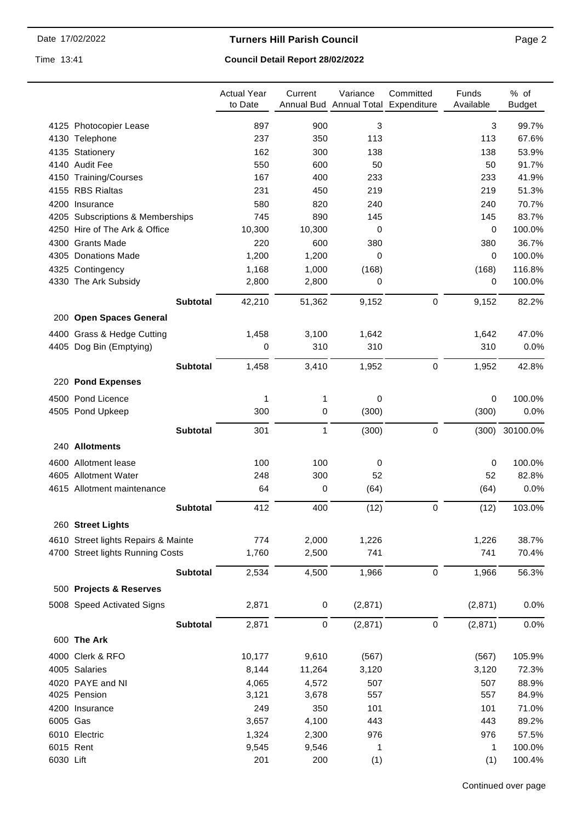**Turners Hill Parish Council** 

Time 13:41

# **Council Detail Report 28/02/2022**

|           |                                     | <b>Actual Year</b><br>to Date | Current   | Variance<br>Annual Bud Annual Total Expenditure | Committed | Funds<br>Available | % of<br><b>Budget</b> |
|-----------|-------------------------------------|-------------------------------|-----------|-------------------------------------------------|-----------|--------------------|-----------------------|
|           | 4125 Photocopier Lease              | 897                           | 900       | 3                                               |           | $\mathbf{3}$       | 99.7%                 |
|           | 4130 Telephone                      | 237                           | 350       | 113                                             |           | 113                | 67.6%                 |
|           | 4135 Stationery                     | 162                           | 300       | 138                                             |           | 138                | 53.9%                 |
|           | 4140 Audit Fee                      | 550                           | 600       | 50                                              |           | 50                 | 91.7%                 |
|           | 4150 Training/Courses               | 167                           | 400       | 233                                             |           | 233                | 41.9%                 |
|           | 4155 RBS Rialtas                    | 231                           | 450       | 219                                             |           | 219                | 51.3%                 |
|           | 4200 Insurance                      | 580                           | 820       | 240                                             |           | 240                | 70.7%                 |
|           | 4205 Subscriptions & Memberships    | 745                           | 890       | 145                                             |           | 145                | 83.7%                 |
|           | 4250 Hire of The Ark & Office       | 10,300                        | 10,300    | 0                                               |           | 0                  | 100.0%                |
|           | 4300 Grants Made                    | 220                           | 600       | 380                                             |           | 380                | 36.7%                 |
|           | 4305 Donations Made                 | 1,200                         | 1,200     | $\Omega$                                        |           | 0                  | 100.0%                |
|           | 4325 Contingency                    | 1,168                         | 1,000     | (168)                                           |           | (168)              | 116.8%                |
|           | 4330 The Ark Subsidy                | 2,800                         | 2,800     | 0                                               |           | 0                  | 100.0%                |
|           | <b>Subtotal</b>                     | 42,210                        | 51,362    | 9,152                                           | $\pmb{0}$ | 9,152              | 82.2%                 |
|           | 200 Open Spaces General             |                               |           |                                                 |           |                    |                       |
|           | 4400 Grass & Hedge Cutting          | 1,458                         | 3,100     | 1,642                                           |           | 1,642              | 47.0%                 |
|           | 4405 Dog Bin (Emptying)             | 0                             | 310       | 310                                             |           | 310                | 0.0%                  |
|           | <b>Subtotal</b>                     | 1,458                         | 3,410     | 1,952                                           | $\pmb{0}$ | 1,952              | 42.8%                 |
|           | 220 Pond Expenses                   |                               |           |                                                 |           |                    |                       |
|           | 4500 Pond Licence                   | 1                             | 1         | 0                                               |           | 0                  | 100.0%                |
|           | 4505 Pond Upkeep                    | 300                           | 0         | (300)                                           |           | (300)              | 0.0%                  |
|           | <b>Subtotal</b>                     | 301                           | 1         | (300)                                           | $\pmb{0}$ | (300)              | 30100.0%              |
|           | 240 Allotments                      |                               |           |                                                 |           |                    |                       |
|           | 4600 Allotment lease                | 100                           | 100       | 0                                               |           | 0                  | 100.0%                |
|           | 4605 Allotment Water                | 248                           | 300       | 52                                              |           | 52                 | 82.8%                 |
|           | 4615 Allotment maintenance          | 64                            | 0         | (64)                                            |           | (64)               | 0.0%                  |
|           | <b>Subtotal</b>                     | 412                           | 400       | (12)                                            | 0         | (12)               | 103.0%                |
|           | 260 Street Lights                   |                               |           |                                                 |           |                    |                       |
|           | 4610 Street lights Repairs & Mainte | 774                           | 2,000     | 1,226                                           |           | 1,226              | 38.7%                 |
|           | 4700 Street lights Running Costs    | 1,760                         | 2,500     | 741                                             |           | 741                | 70.4%                 |
|           |                                     |                               |           |                                                 |           |                    |                       |
|           | <b>Subtotal</b>                     | 2,534                         | 4,500     | 1,966                                           | $\pmb{0}$ | 1,966              | 56.3%                 |
|           | 500 Projects & Reserves             |                               |           |                                                 |           |                    |                       |
|           | 5008 Speed Activated Signs          | 2,871                         | $\pmb{0}$ | (2,871)                                         |           | (2,871)            | 0.0%                  |
|           | <b>Subtotal</b>                     | 2,871                         | 0         | (2,871)                                         | $\pmb{0}$ | (2,871)            | 0.0%                  |
|           | 600 The Ark                         |                               |           |                                                 |           |                    |                       |
|           | 4000 Clerk & RFO                    | 10,177                        | 9,610     | (567)                                           |           | (567)              | 105.9%                |
|           | 4005 Salaries                       | 8,144                         | 11,264    | 3,120                                           |           | 3,120              | 72.3%                 |
|           | 4020 PAYE and NI                    | 4,065                         | 4,572     | 507                                             |           | 507                | 88.9%                 |
|           | 4025 Pension                        | 3,121                         | 3,678     | 557                                             |           | 557                | 84.9%                 |
|           | 4200 Insurance                      | 249                           | 350       | 101                                             |           | 101                | 71.0%                 |
| 6005 Gas  |                                     | 3,657                         | 4,100     | 443                                             |           | 443                | 89.2%                 |
|           | 6010 Electric                       | 1,324                         | 2,300     | 976                                             |           | 976                | 57.5%                 |
|           | 6015 Rent                           | 9,545                         | 9,546     | 1                                               |           | 1                  | 100.0%                |
| 6030 Lift |                                     | 201                           | 200       | (1)                                             |           | (1)                | 100.4%                |